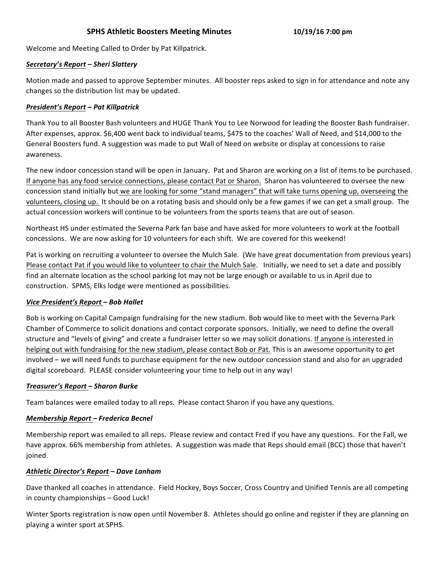# **SPHS Athletic Boosters Meeting Minutes 10/19/16 7:00 pm**

Welcome and Meeting Called to Order by Pat Killpatrick.

#### *Secretary's Report – Sheri Slattery*

Motion made and passed to approve September minutes. All booster reps asked to sign in for attendance and note any changes so the distribution list may be updated.

### *President's Report – Pat Killpatrick*

Thank You to all Booster Bash volunteers and HUGE Thank You to Lee Norwood for leading the Booster Bash fundraiser. After expenses, approx. \$6,400 went back to individual teams, \$475 to the coaches' Wall of Need, and \$14,000 to the General Boosters fund. A suggestion was made to put Wall of Need on website or display at concessions to raise awareness. 

The new indoor concession stand will be open in January. Pat and Sharon are working on a list of items to be purchased. If anyone has any food service connections, please contact Pat or Sharon. Sharon has volunteered to oversee the new concession stand initially but we are looking for some "stand managers" that will take turns opening up, overseeing the volunteers, closing up. It should be on a rotating basis and should only be a few games if we can get a small group. The actual concession workers will continue to be volunteers from the sports teams that are out of season.

Northeast HS under estimated the Severna Park fan base and have asked for more volunteers to work at the football concessions. We are now asking for 10 volunteers for each shift. We are covered for this weekend!

Pat is working on recruiting a volunteer to oversee the Mulch Sale. (We have great documentation from previous years) Please contact Pat if you would like to volunteer to chair the Mulch Sale. Initially, we need to set a date and possibly find an alternate location as the school parking lot may not be large enough or available to us in April due to construction. SPMS, Elks lodge were mentioned as possibilities.

# *Vice President's Report – Bob Hallet*

Bob is working on Capital Campaign fundraising for the new stadium. Bob would like to meet with the Severna Park Chamber of Commerce to solicit donations and contact corporate sponsors. Initially, we need to define the overall structure and "levels of giving" and create a fundraiser letter so we may solicit donations. If anyone is interested in helping out with fundraising for the new stadium, please contact Bob or Pat. This is an awesome opportunity to get involved – we will need funds to purchase equipment for the new outdoor concession stand and also for an upgraded digital scoreboard. PLEASE consider volunteering your time to help out in any way!

# *Treasurer's Report – Sharon Burke*

Team balances were emailed today to all reps. Please contact Sharon if you have any questions.

# *Membership Report – Frederica Becnel*

Membership report was emailed to all reps. Please review and contact Fred if you have any questions. For the Fall, we have approx. 66% membership from athletes. A suggestion was made that Reps should email (BCC) those that haven't joined. 

#### *Athletic Director's Report – Dave Lanham*

Dave thanked all coaches in attendance. Field Hockey, Boys Soccer, Cross Country and Unified Tennis are all competing in county championships - Good Luck!

Winter Sports registration is now open until November 8. Athletes should go online and register if they are planning on playing a winter sport at SPHS.